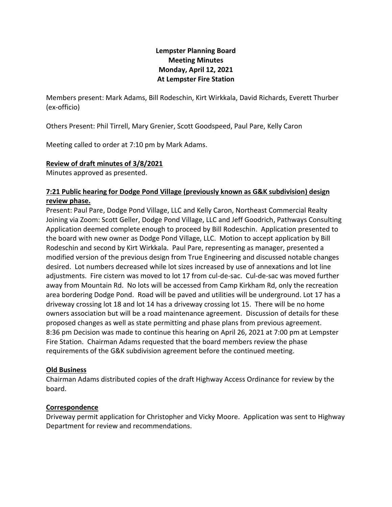# **Lempster Planning Board Meeting Minutes Monday, April 12, 2021 At Lempster Fire Station**

Members present: Mark Adams, Bill Rodeschin, Kirt Wirkkala, David Richards, Everett Thurber (ex-officio)

Others Present: Phil Tirrell, Mary Grenier, Scott Goodspeed, Paul Pare, Kelly Caron

Meeting called to order at 7:10 pm by Mark Adams.

#### **Review of draft minutes of 3/8/2021**

Minutes approved as presented.

## **7:21 Public hearing for Dodge Pond Village (previously known as G&K subdivision) design review phase.**

Present: Paul Pare, Dodge Pond Village, LLC and Kelly Caron, Northeast Commercial Realty Joining via Zoom: Scott Geller, Dodge Pond Village, LLC and Jeff Goodrich, Pathways Consulting Application deemed complete enough to proceed by Bill Rodeschin. Application presented to the board with new owner as Dodge Pond Village, LLC. Motion to accept application by Bill Rodeschin and second by Kirt Wirkkala. Paul Pare, representing as manager, presented a modified version of the previous design from True Engineering and discussed notable changes desired. Lot numbers decreased while lot sizes increased by use of annexations and lot line adjustments. Fire cistern was moved to lot 17 from cul-de-sac. Cul-de-sac was moved further away from Mountain Rd. No lots will be accessed from Camp Kirkham Rd, only the recreation area bordering Dodge Pond. Road will be paved and utilities will be underground. Lot 17 has a driveway crossing lot 18 and lot 14 has a driveway crossing lot 15. There will be no home owners association but will be a road maintenance agreement. Discussion of details for these proposed changes as well as state permitting and phase plans from previous agreement. 8:36 pm Decision was made to continue this hearing on April 26, 2021 at 7:00 pm at Lempster Fire Station. Chairman Adams requested that the board members review the phase requirements of the G&K subdivision agreement before the continued meeting.

#### **Old Business**

Chairman Adams distributed copies of the draft Highway Access Ordinance for review by the board.

#### **Correspondence**

Driveway permit application for Christopher and Vicky Moore. Application was sent to Highway Department for review and recommendations.